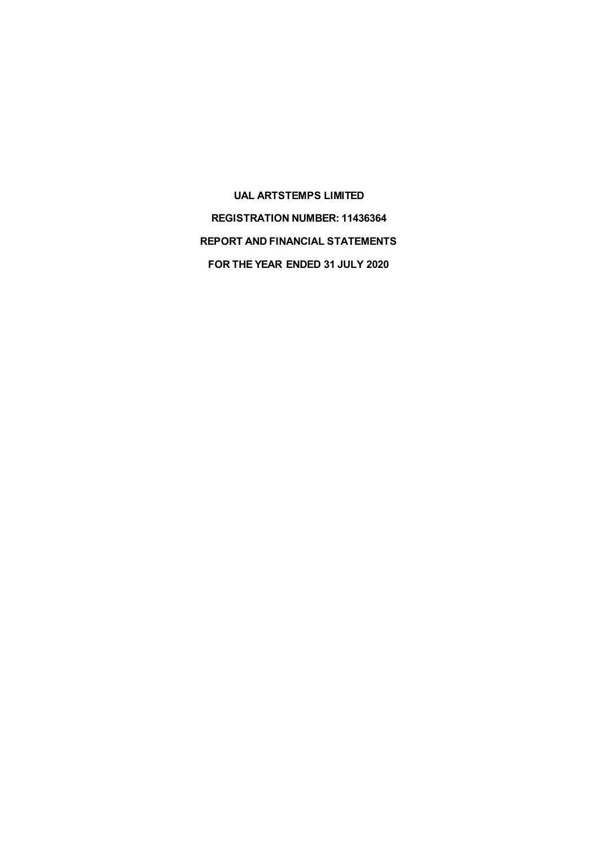**UAL ARTSTEMPS LIMITED REGISTRATION NUMBER: 11436364 REPORT AND FINANCIAL STATEMENTS FOR THE YEAR ENDED 31 JULY 2020**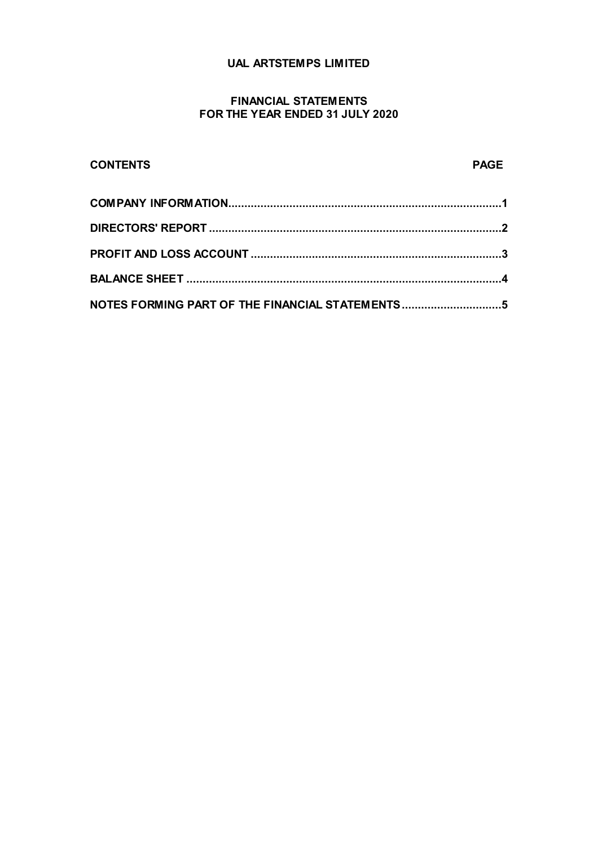# **UAL ARTSTEMPS LIMITED**

## **FINANCIAL STATEMENTS FOR THE YEAR ENDED 31 JULY 2020**

# **CONTENTS PAGE COMPANY INFORMATION.....................................................................................1 DIRECTORS' REPORT ...........................................................................................2 PROFIT AND LOSS ACCOUNT ..............................................................................3 BALANCE SHEET ..................................................................................................4 NOTES FORMING PART OF THE FINANCIAL STATEMENTS...............................5**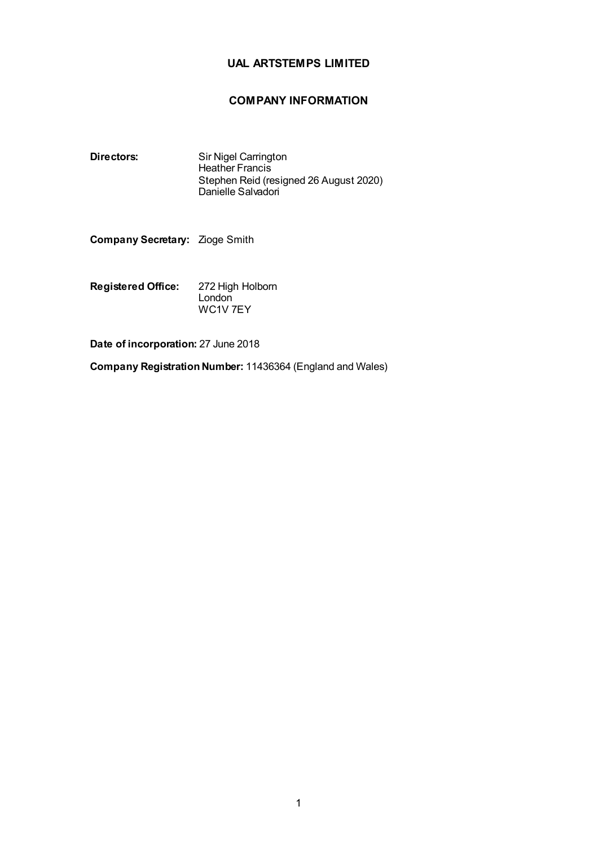# **UAL ARTSTEMPS LIMITED**

# **COMPANY INFORMATION**

**Directors:** Sir Nigel Carrington Heather Francis Stephen Reid (resigned 26 August 2020) Danielle Salvadori

**Company Secretary:** Zioge Smith

**Registered Office:** 272 High Holborn **London** WC1V 7EY

**Date of incorporation:** 27 June 2018

**Company Registration Number:** 11436364 (England and Wales)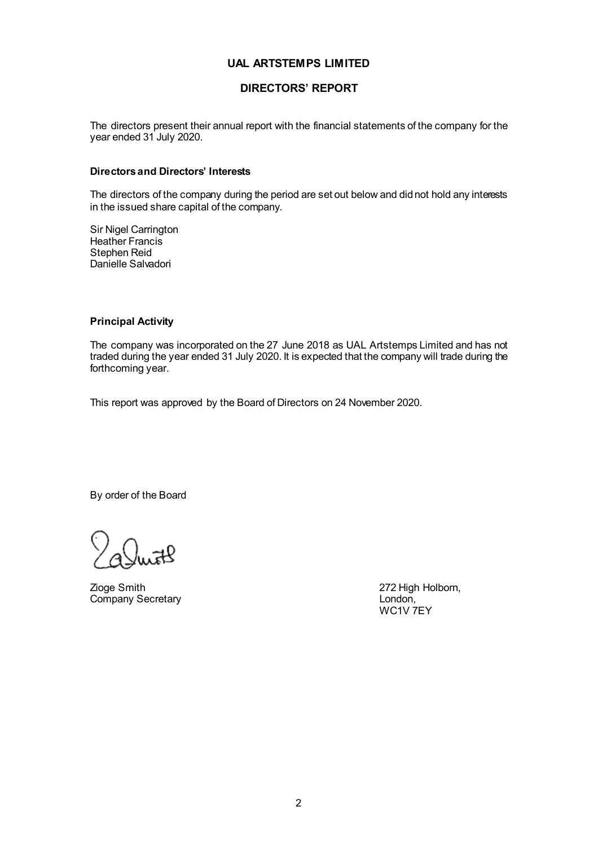## **UAL ARTSTEMPS LIMITED**

## **DIRECTORS' REPORT**

The directors present their annual report with the financial statements of the company for the year ended 31 July 2020.

#### **Directors and Directors' Interests**

The directors of the company during the period are set out below and did not hold any interests in the issued share capital of the company.

Sir Nigel Carrington Heather Francis Stephen Reid Danielle Salvadori

#### **Principal Activity**

The company was incorporated on the 27 June 2018 as UAL Artstemps Limited and has not traded during the year ended 31 July 2020. It is expected that the company will trade during the forthcoming year.

This report was approved by the Board of Directors on 24 November 2020.

By order of the Board

Zioge Smith 272 High Holborn, 272 High Holborn, 272 High Holborn, 272 High Holborn, Company Secretary

WC1V 7EY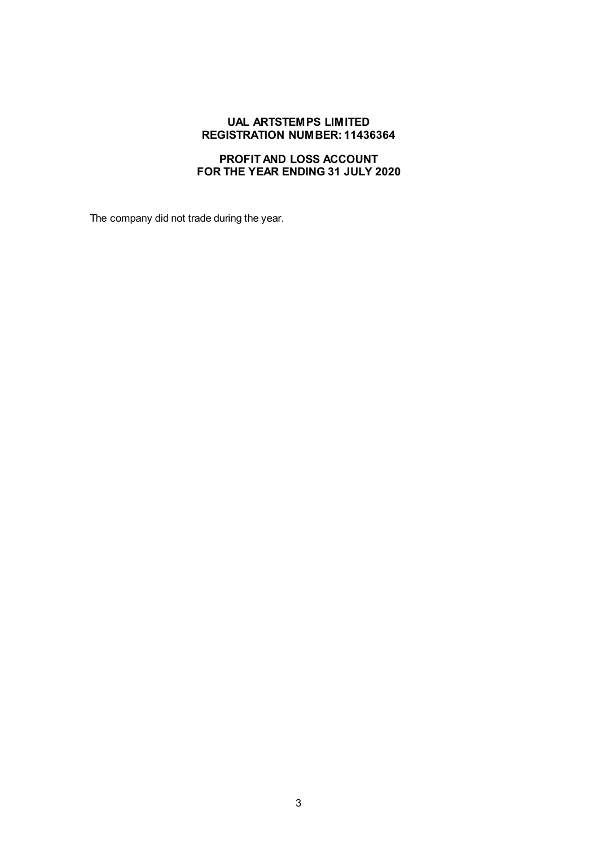#### **UAL ARTSTEMPS LIMITED REGISTRATION NUMBER: 11436364**

# **PROFIT AND LOSS ACCOUNT FOR THE YEAR ENDING 31 JULY 2020**

The company did not trade during the year.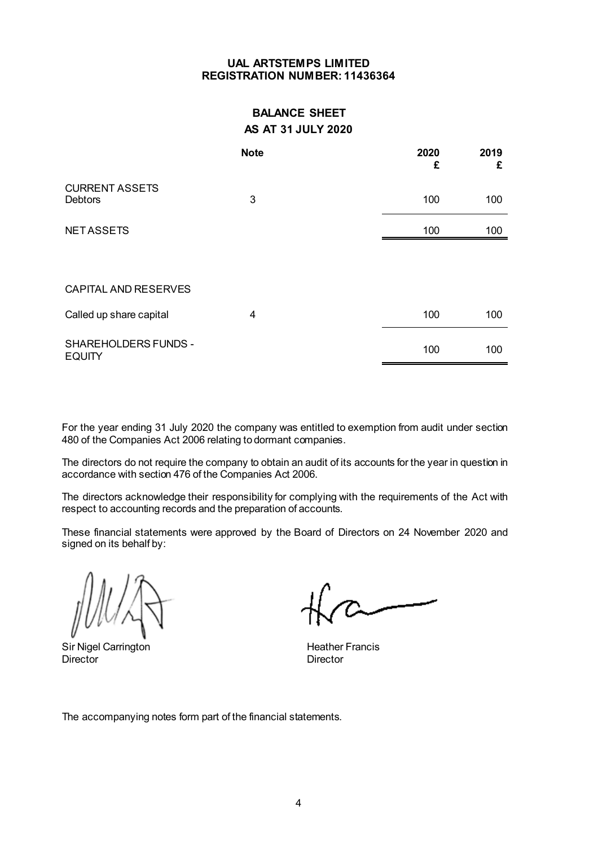## **UAL ARTSTEMPS LIMITED REGISTRATION NUMBER: 11436364**

# **BALANCE SHEET AS AT 31 JULY 2020**

|                                              | <b>Note</b> | 2020 | 2019<br>£<br>£ |
|----------------------------------------------|-------------|------|----------------|
| <b>CURRENT ASSETS</b><br><b>Debtors</b>      | 3           |      | 100<br>100     |
| <b>NETASSETS</b>                             |             |      | 100<br>100     |
|                                              |             |      |                |
| <b>CAPITAL AND RESERVES</b>                  |             |      |                |
| Called up share capital                      | 4           |      | 100<br>100     |
| <b>SHAREHOLDERS FUNDS -</b><br><b>EQUITY</b> |             |      | 100<br>100     |

For the year ending 31 July 2020 the company was entitled to exemption from audit under section 480 of the Companies Act 2006 relating to dormant companies.

The directors do not require the company to obtain an audit of its accounts for the year in question in accordance with section 476 of the Companies Act 2006.

The directors acknowledge their responsibility for complying with the requirements of the Act with respect to accounting records and the preparation of accounts.

These financial statements were approved by the Board of Directors on 24 November 2020 and signed on its behalf by:

Sir Nigel Carrington **Heather Francis Heather Francis** Director Director

The accompanying notes form part of the financial statements.